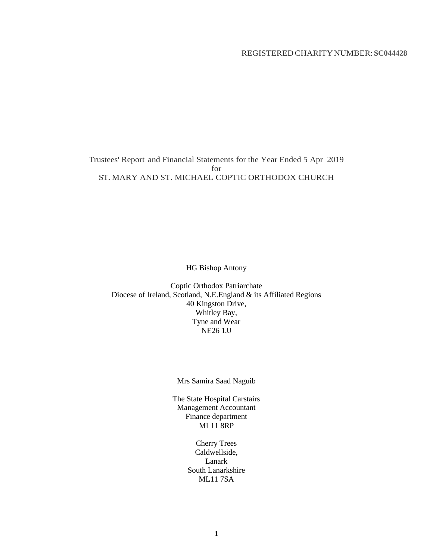## REGISTERED CHARITYNUMBER:**SC044428**

Trustees' Report and Financial Statements for the Year Ended 5 Apr 2019 for ST. MARY AND ST. MICHAEL COPTIC ORTHODOX CHURCH

HG Bishop Antony

Coptic Orthodox Patriarchate Diocese of Ireland, Scotland, N.E.England & its Affiliated Regions 40 Kingston Drive, Whitley Bay, Tyne and Wear NE26 1JJ

Mrs Samira Saad Naguib

The State Hospital Carstairs Management Accountant Finance department ML<sub>11</sub>8RP

> Cherry Trees Caldwellside, Lanark South Lanarkshire ML11 7SA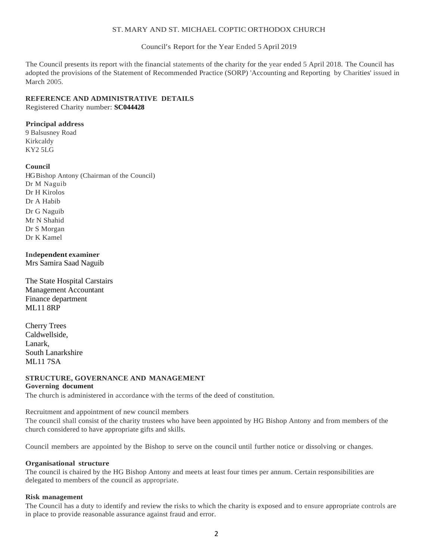#### ST. MARY AND ST. MICHAEL COPTIC ORTHODOX CHURCH

Council's Report for the Year Ended 5 April 2019

The Council presents its report with the financial statements of the charity for the year ended 5 April 2018. The Council has adopted the provisions of the Statement of Recommended Practice (SORP) 'Accounting and Reporting by Charities' issued in March 2005.

## **REFERENCE AND ADMINISTRATIVE DETAILS**

Registered Charity number: **SC044428**

## **Principal address**

9 Balsusney Road Kirkcaldy KY2 5LG

## **Council**

HG Bishop Antony (Chairman of the Council) Dr M Naguib Dr H Kirolos Dr A Habib Dr G Naguib Mr N Shahid Dr S Morgan Dr K Kamel

#### **Independent examiner**

Mrs Samira Saad Naguib

The State Hospital Carstairs Management Accountant Finance department ML11 8RP

Cherry Trees Caldwellside, Lanark, South Lanarkshire ML11 7SA

## **STRUCTURE, GOVERNANCE AND MANAGEMENT**

#### **Governing document**

The church is administered in accordance with the terms of the deed of constitution.

Recruitment and appointment of new council members

The council shall consist of the charity trustees who have been appointed by HG Bishop Antony and from members of the church considered to have appropriate gifts and skills.

Council members are appointed by the Bishop to serve on the council until further notice or dissolving or changes.

#### **Organisational structure**

The council is chaired by the HG Bishop Antony and meets at least four times per annum. Certain responsibilities are delegated to members of the council as appropriate.

#### **Risk management**

The Council has a duty to identify and review the risks to which the charity is exposed and to ensure appropriate controls are in place to provide reasonable assurance against fraud and error.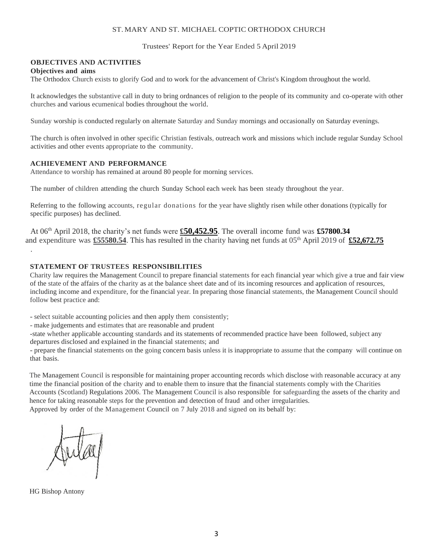#### ST. MARY AND ST. MICHAEL COPTIC ORTHODOX CHURCH

Trustees' Report for the Year Ended 5 April 2019

## **OBJECTIVES AND ACTIVITIES**

#### **Objectives and aims**

.

The Orthodox Church exists to glorify God and to work for the advancement of Christ's Kingdom throughout the world.

It acknowledges the substantive call in duty to bring ordnances of religion to the people of its community and co-operate with other churches and various ecumenical bodies throughout the world.

Sunday worship is conducted regularly on alternate Saturday and Sunday mornings and occasionally on Saturday evenings.

The church is often involved in other specific Christian festivals, outreach work and missions which include regular Sunday School activities and other events appropriate to the community.

#### **ACHIEVEMENT AND PERFORMANCE**

Attendance to worship has remained at around 80 people for morning services.

The number of children attending the church Sunday School each week has been steady throughout the year.

Referring to the following accounts, regular donations for the year have slightly risen while other donations (typically for specific purposes) has declined.

At 06 th April 2018, the charity's net funds were **£50,452.95**. The overall income fund was **£57800.34** and expenditure was **£55580.54**. This has resulted in the charity having net funds at 05<sup>th</sup> April 2019 of £52,672.75

#### **STATEMENT OF TRUSTEES RESPONSIBILITIES**

Charity law requires the Management Council to prepare financial statements for each financial year which give a true and fair view of the state of the affairs of the charity as at the balance sheet date and of its incoming resources and application of resources, including income and expenditure, for the financial year. In preparing those financial statements, the Management Council should follow best practice and:

- select suitable accounting policies and then apply them consistently;

- make judgements and estimates that are reasonable and prudent

-state whether applicable accounting standards and its statements of recommended practice have been followed, subject any departures disclosed and explained in the financial statements; and

- prepare the financial statements on the going concern basis unless it is inappropriate to assume that the company will continue on that basis.

The Management Council is responsible for maintaining proper accounting records which disclose with reasonable accuracy at any time the financial position of the charity and to enable them to insure that the financial statements comply with the Charities Accounts (Scotland) Regulations 2006. The Management Council is also responsible for safeguarding the assets of the charity and hence for taking reasonable steps for the prevention and detection of fraud and other irregularities. Approved by order of the Management Council on 7 July 2018 and signed on its behalf by:

HG Bishop Antony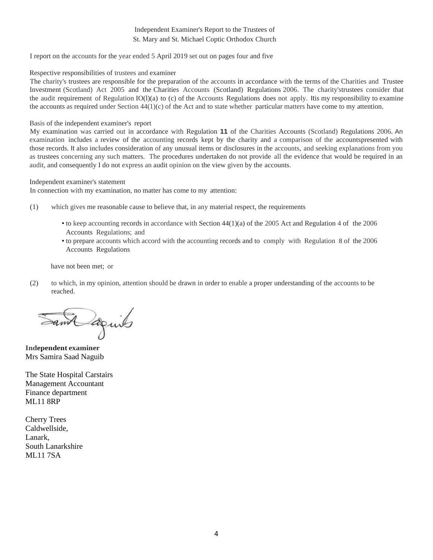## Independent Examiner's Report to the Trustees of St. Mary and St. Michael Coptic Orthodox Church

I report on the accounts for the year ended 5 April 2019 set out on pages four and five

#### Respective responsibilities of trustees and examiner

The charity's trustees are responsible for the preparation of the accounts in accordance with the terms of the Charities and Trustee Investment (Scotland) Act 2005 and the Charities Accounts (Scotland) Regulations 2006. The charity'strustees consider that the audit requirement of Regulation IO(l)(a) to (c) of the Accounts Regulations does not apply. Itis my responsibility to examine the accounts as required under Section  $44(1)(c)$  of the Act and to state whether particular matters have come to my attention.

#### Basis of the independent examiner's report

My examination was carried out in accordance with Regulation **11** of the Charities Accounts (Scotland) Regulations 2006. An examination includes a review of the accounting records kept by the charity and a comparison of the accountspresented with those records. It also includes consideration of any unusual items or disclosures in the accounts, and seeking explanations from you as trustees concerning any such matters. The procedures undertaken do not provide all the evidence that would be required in an audit, and consequently I do not express an audit opinion on the view given by the accounts.

Independent examiner's statement

In connection with my examination, no matter has come to my attention:

- (1) which gives me reasonable cause to believe that, in any material respect, the requirements
	- to keep accounting records in accordance with Section 44(1)(a) of the 2005 Act and Regulation 4 of the 2006 Accounts Regulations; and
	- to prepare accounts which accord with the accounting records and to comply with Regulation 8 of the 2006 Accounts Regulations

have not been met; or

(2) to which, in my opinion, attention should be drawn in order to enable a proper understanding of the accounts to be reached.

Samt aguits

**Independent examiner** Mrs Samira Saad Naguib

The State Hospital Carstairs Management Accountant Finance department ML11 8RP

Cherry Trees Caldwellside, Lanark, South Lanarkshire ML11 7SA